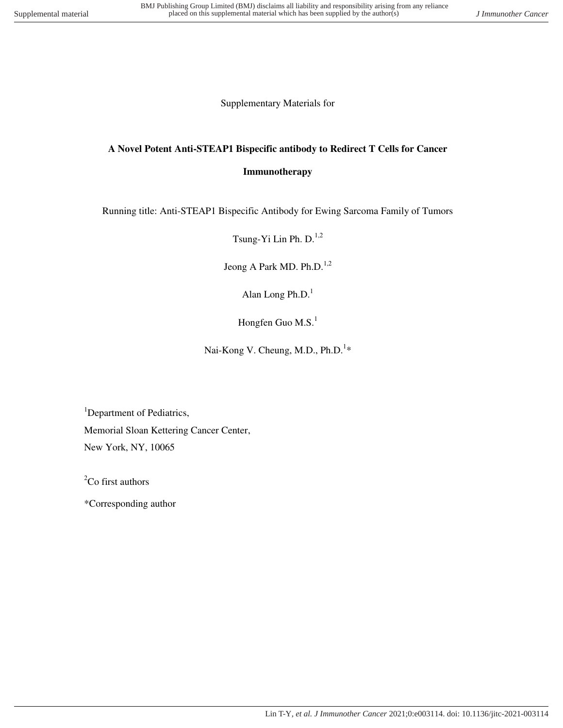Supplementary Materials for

# **A Novel Potent Anti-STEAP1 Bispecific antibody to Redirect T Cells for Cancer**

#### **Immunotherapy**

Running title: Anti-STEAP1 Bispecific Antibody for Ewing Sarcoma Family of Tumors

Tsung-Yi Lin Ph.  $D^{1,2}$ 

Jeong A Park MD. Ph.D.<sup>1,2</sup>

Alan Long Ph.D. $<sup>1</sup>$ </sup>

Hongfen Guo M.S. $<sup>1</sup>$ </sup>

Nai-Kong V. Cheung, M.D., Ph.D.<sup>1\*</sup>

<sup>1</sup>Department of Pediatrics, Memorial Sloan Kettering Cancer Center, New York, NY, 10065

 ${}^{2}$ Co first authors

\*Corresponding author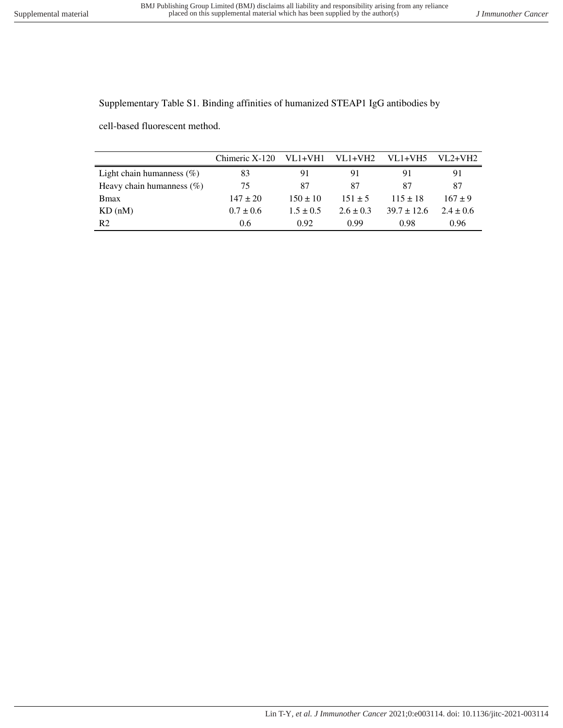Supplementary Table S1. Binding affinities of humanized STEAP1 IgG antibodies by

cell-based fluorescent method.

|                              | Chimeric X-120 | VL1+VH1       | $VL1+VH2$     | $VL1+VH5$       | $VI.2+VH2$  |
|------------------------------|----------------|---------------|---------------|-----------------|-------------|
| Light chain humanness $(\%)$ | 83             | 91            | 91            | 91              | 91          |
| Heavy chain humanness $(\%)$ | 75             | 87            | 87            | 87              | 87          |
| <b>B</b> max                 | $147 \pm 20$   | $150 + 10$    | $151 + 5$     | $115 \pm 18$    | $167 + 9$   |
| KD(nM)                       | $0.7 \pm 0.6$  | $1.5 \pm 0.5$ | $2.6 \pm 0.3$ | $39.7 \pm 12.6$ | $2.4 + 0.6$ |
| R <sub>2</sub>               | 0.6            | 0.92          | 0.99          | 0.98            | 0.96        |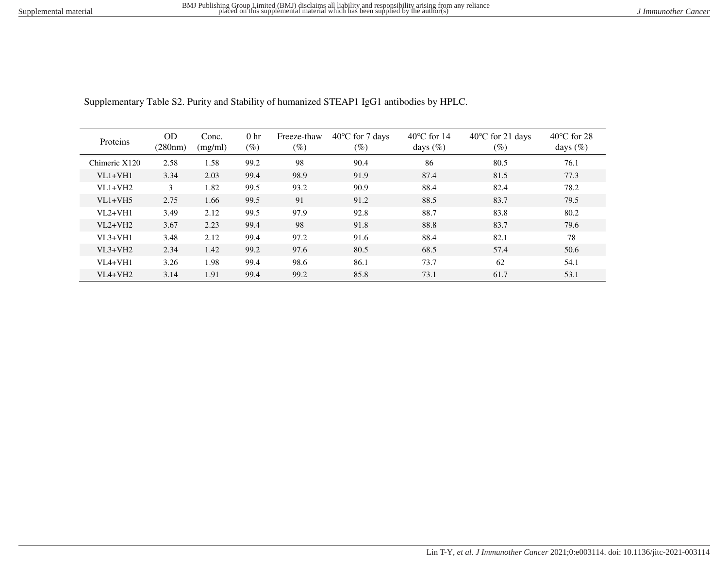| Proteins      | OD      | Conc.   | 0 <sub>hr</sub> | Freeze-thaw | $40^{\circ}$ C for 7 days | $40^{\circ}$ C for 14 | $40^{\circ}$ C for 21 days | $40^{\circ}$ C for 28 |
|---------------|---------|---------|-----------------|-------------|---------------------------|-----------------------|----------------------------|-----------------------|
|               | (280nm) | (mg/ml) | $(\%)$          | $(\%)$      | $(\%)$                    | days $(\%)$           | $(\%)$                     | days $(\%)$           |
| Chimeric X120 | 2.58    | 1.58    | 99.2            | 98          | 90.4                      | 86                    | 80.5                       | 76.1                  |
| $VI.1+VH1$    | 3.34    | 2.03    | 99.4            | 98.9        | 91.9                      | 87.4                  | 81.5                       | 77.3                  |
| $VI.1+VH2$    | 3       | 1.82    | 99.5            | 93.2        | 90.9                      | 88.4                  | 82.4                       | 78.2                  |
| $VI.1+VH5$    | 2.75    | 1.66    | 99.5            | 91          | 91.2                      | 88.5                  | 83.7                       | 79.5                  |
| $VI.2+VH1$    | 3.49    | 2.12    | 99.5            | 97.9        | 92.8                      | 88.7                  | 83.8                       | 80.2                  |
| $VI.2+VH2$    | 3.67    | 2.23    | 99.4            | 98          | 91.8                      | 88.8                  | 83.7                       | 79.6                  |
| $VI.3+VHI$    | 3.48    | 2.12    | 99.4            | 97.2        | 91.6                      | 88.4                  | 82.1                       | 78                    |
| $VI.3+VH2$    | 2.34    | 1.42    | 99.2            | 97.6        | 80.5                      | 68.5                  | 57.4                       | 50.6                  |
| $VIA+VH1$     | 3.26    | 1.98    | 99.4            | 98.6        | 86.1                      | 73.7                  | 62                         | 54.1                  |
| $VIA+VH2$     | 3.14    | 1.91    | 99.4            | 99.2        | 85.8                      | 73.1                  | 61.7                       | 53.1                  |

Supplementary Table S2. Purity and Stability of humanized STEAP1 IgG1 antibodies by HPLC.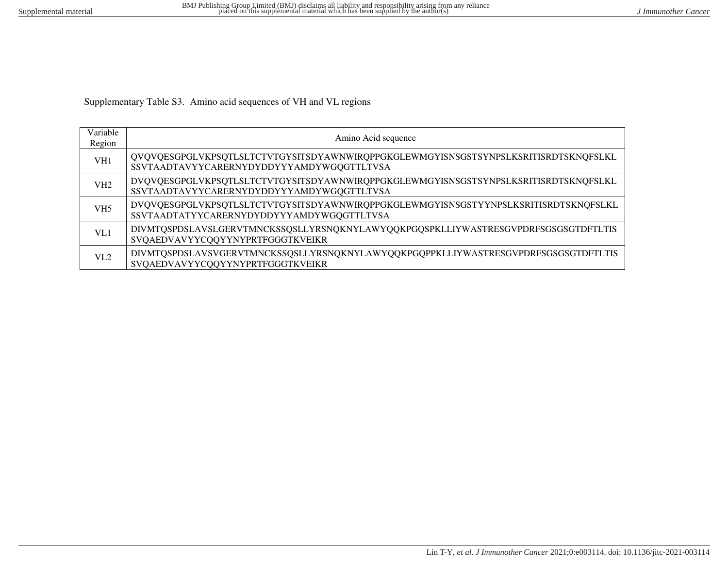Supplementary Table S3. Amino acid sequences of VH and VL regions

| Variable<br>Region | Amino Acid sequence                                                                                                              |
|--------------------|----------------------------------------------------------------------------------------------------------------------------------|
| VH1                | QVQVQESGPGLVKPSQTLSLTCTVTGYSITSDYAWNWIRQPPGKGLEWMGYISNSGSTSYNPSLKSRITISRDTSKNQFSLKL<br>SSVTAADTAVYYCARERNYDYDDYYYAMDYWGQGTTLTVSA |
| VH2                | DVQVQESGPGLVKPSQTLSLTCTVTGYSITSDYAWNWIRQPPGKGLEWMGYISNSGSTSYNPSLKSRITISRDTSKNQFSLKL<br>SSVTAADTAVYYCARERNYDYDDYYYAMDYWGQGTTLTVSA |
| VH <sub>5</sub>    | DVQVQESGPGLVKPSQTLSLTCTVTGYSITSDYAWNWIRQPPGKGLEWMGYISNSGSTYYNPSLKSRITISRDTSKNQFSLKL<br>SSVTAADTATYYCARERNYDYDDYYYAMDYWGQGTTLTVSA |
| VL1                | DIVMTQSPDSLAVSLGERVTMNCKSSQSLLYRSNQKNYLAWYQQKPGQSPKLLIYWASTRESGVPDRFSGSGSGTDFTLTIS<br>SVQAEDVAVYYCQQYYNYPRTFGGGTKVEIKR           |
| VI.2               | DIVMTQSPDSLAVSVGERVTMNCKSSQSLLYRSNQKNYLAWYQQKPGQPPKLLIYWASTRESGVPDRFSGSGSGTDFTLTIS<br>SVQAEDVAVYYCQQYYNYPRTFGGGTKVEIKR           |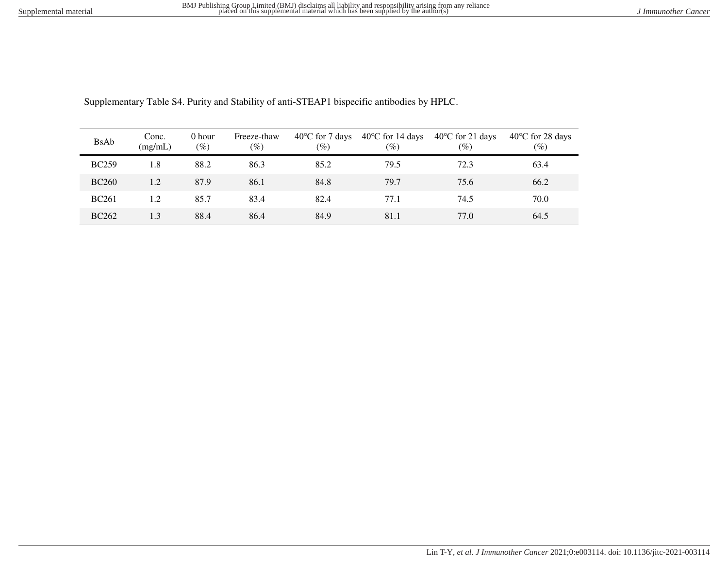| <b>BsAb</b>  | Conc.<br>(mg/mL) | 0 hour<br>(%) | Freeze-thaw<br>$(\%)$ | $40^{\circ}$ C for 7 days<br>$(\%)$ | $40^{\circ}$ C for 14 days<br>$(\%)$ | $40^{\circ}$ C for 21 days<br>(%) | $40^{\circ}$ C for 28 days<br>$(\%)$ |
|--------------|------------------|---------------|-----------------------|-------------------------------------|--------------------------------------|-----------------------------------|--------------------------------------|
| <b>BC259</b> | 1.8              | 88.2          | 86.3                  | 85.2                                | 79.5                                 | 72.3                              | 63.4                                 |
| <b>BC260</b> | 1.2              | 87.9          | 86.1                  | 84.8                                | 79.7                                 | 75.6                              | 66.2                                 |
| <b>BC261</b> | 1.2              | 85.7          | 83.4                  | 82.4                                | 77.1                                 | 74.5                              | 70.0                                 |
| <b>BC262</b> | 1.3              | 88.4          | 86.4                  | 84.9                                | 81.1                                 | 77.0                              | 64.5                                 |

Supplementary Table S4. Purity and Stability of anti-STEAP1 bispecific antibodies by HPLC.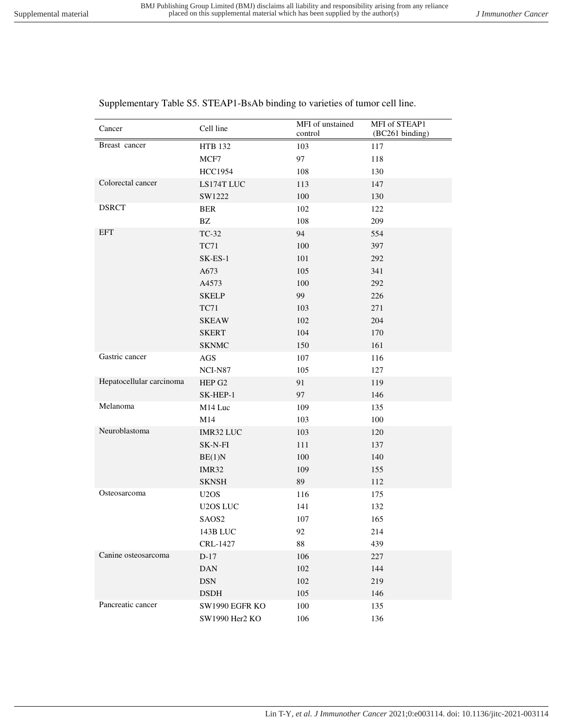control

MFI of STEAP1 (BC261 binding)

| Breast cancer            | <b>HTB 132</b>                | 103    | 117 |
|--------------------------|-------------------------------|--------|-----|
|                          | MCF7                          | 97     | 118 |
|                          | <b>HCC1954</b>                | 108    | 130 |
| Colorectal cancer        | LS174T LUC                    | 113    | 147 |
|                          | SW1222                        | 100    | 130 |
| <b>DSRCT</b>             | <b>BER</b>                    | 102    | 122 |
|                          | $\mathbf{B}\mathbf{Z}$        | 108    | 209 |
| <b>EFT</b>               | TC-32                         | 94     | 554 |
|                          | <b>TC71</b>                   | 100    | 397 |
|                          | $SK-ES-1$                     | 101    | 292 |
|                          | A673                          | 105    | 341 |
|                          | A4573                         | 100    | 292 |
|                          | <b>SKELP</b>                  | 99     | 226 |
|                          | <b>TC71</b>                   | 103    | 271 |
|                          | <b>SKEAW</b>                  | 102    | 204 |
|                          | <b>SKERT</b>                  | 104    | 170 |
|                          | <b>SKNMC</b>                  | 150    | 161 |
| Gastric cancer           | $\rm{AGS}$                    | 107    | 116 |
|                          | NCI-N87                       | 105    | 127 |
| Hepatocellular carcinoma | HEP G2                        | 91     | 119 |
|                          | SK-HEP-1                      | 97     | 146 |
| Melanoma                 | M14 Luc                       | 109    | 135 |
|                          | M14                           | 103    | 100 |
| Neuroblastoma            | IMR32 LUC                     | 103    | 120 |
|                          | SK-N-FI                       | 111    | 137 |
|                          | BE(1)N                        | 100    | 140 |
|                          | IMR32                         | 109    | 155 |
|                          | <b>SKNSH</b>                  | 89     | 112 |
| Osteosarcoma             | U <sub>2</sub> O <sub>S</sub> | 116    | 175 |
|                          | U2OS LUC                      | 141    | 132 |
|                          | SAOS2                         | 107    | 165 |
|                          | 143B LUC                      | 92     | 214 |
|                          | CRL-1427                      | $88\,$ | 439 |
| Canine osteosarcoma      | $D-17$                        | 106    | 227 |
|                          | <b>DAN</b>                    | 102    | 144 |
|                          | $DSN$                         | 102    | 219 |
|                          | <b>DSDH</b>                   | 105    | 146 |
| Pancreatic cancer        | SW1990 EGFR KO                | 100    | 135 |
|                          | SW1990 Her2 KO                | 106    | 136 |

Supplementary Table S5. STEAP1-BsAb binding to varieties of tumor cell line.

Cancer Cell line MFI of unstained<br>
Cell line control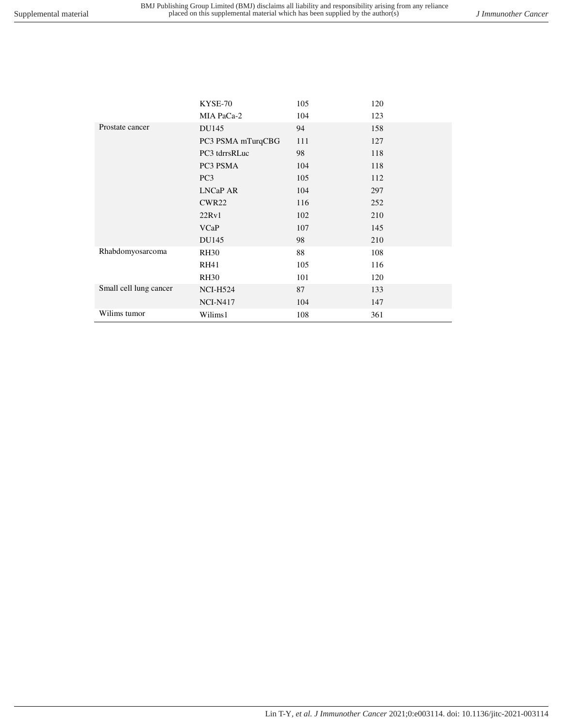|                        | KYSE-70           | 105 | 120 |
|------------------------|-------------------|-----|-----|
|                        | MIA PaCa-2        | 104 | 123 |
| Prostate cancer        | DU145             | 94  | 158 |
|                        | PC3 PSMA mTurqCBG | 111 | 127 |
|                        | PC3 tdrrsRLuc     | 98  | 118 |
|                        | PC3 PSMA          | 104 | 118 |
|                        | PC <sub>3</sub>   | 105 | 112 |
|                        | <b>LNCaP AR</b>   | 104 | 297 |
|                        | CWR <sub>22</sub> | 116 | 252 |
|                        | 22Rv1             | 102 | 210 |
|                        | <b>VCaP</b>       | 107 | 145 |
|                        | DU145             | 98  | 210 |
| Rhabdomyosarcoma       | <b>RH30</b>       | 88  | 108 |
|                        | <b>RH41</b>       | 105 | 116 |
|                        | <b>RH30</b>       | 101 | 120 |
| Small cell lung cancer | <b>NCI-H524</b>   | 87  | 133 |
|                        | <b>NCI-N417</b>   | 104 | 147 |
| Wilims tumor           | Wilims1           | 108 | 361 |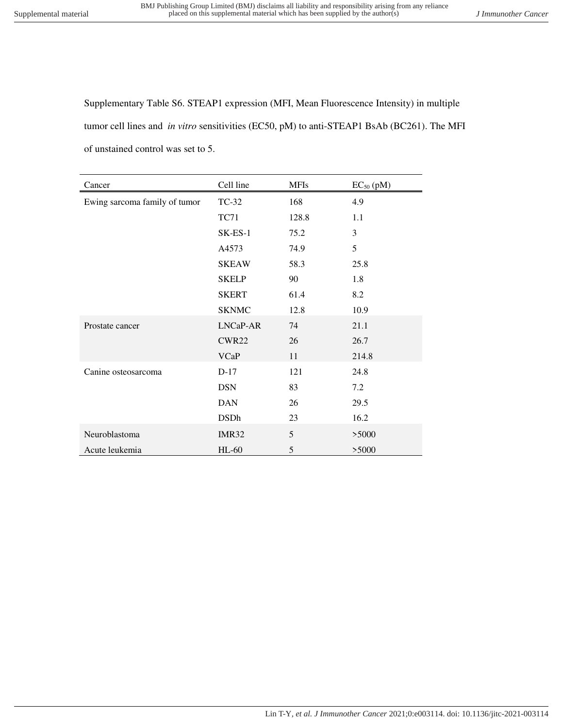Supplementary Table S6. STEAP1 expression (MFI, Mean Fluorescence Intensity) in multiple tumor cell lines and *in vitro* sensitivities (EC50, pM) to anti-STEAP1 BsAb (BC261). The MFI of unstained control was set to 5.

| Cancer                        | Cell line         | <b>MFIs</b> | $EC_{50}$ (pM) |
|-------------------------------|-------------------|-------------|----------------|
| Ewing sarcoma family of tumor | TC-32             | 168         | 4.9            |
|                               | <b>TC71</b>       | 128.8       | 1.1            |
|                               | $SK-ES-1$         | 75.2        | 3              |
|                               | A4573             | 74.9        | 5              |
|                               | <b>SKEAW</b>      | 58.3        | 25.8           |
|                               | <b>SKELP</b>      | 90          | 1.8            |
|                               | <b>SKERT</b>      | 61.4        | 8.2            |
|                               | <b>SKNMC</b>      | 12.8        | 10.9           |
| Prostate cancer               | LNCaP-AR          | 74          | 21.1           |
|                               | CWR <sub>22</sub> | 26          | 26.7           |
|                               | <b>VCaP</b>       | 11          | 214.8          |
| Canine osteosarcoma           | $D-17$            | 121         | 24.8           |
|                               | <b>DSN</b>        | 83          | 7.2            |
|                               | <b>DAN</b>        | 26          | 29.5           |
|                               | <b>DSDh</b>       | 23          | 16.2           |
| Neuroblastoma                 | IMR32             | 5           | >5000          |
| Acute leukemia                | $HL-60$           | 5           | >5000          |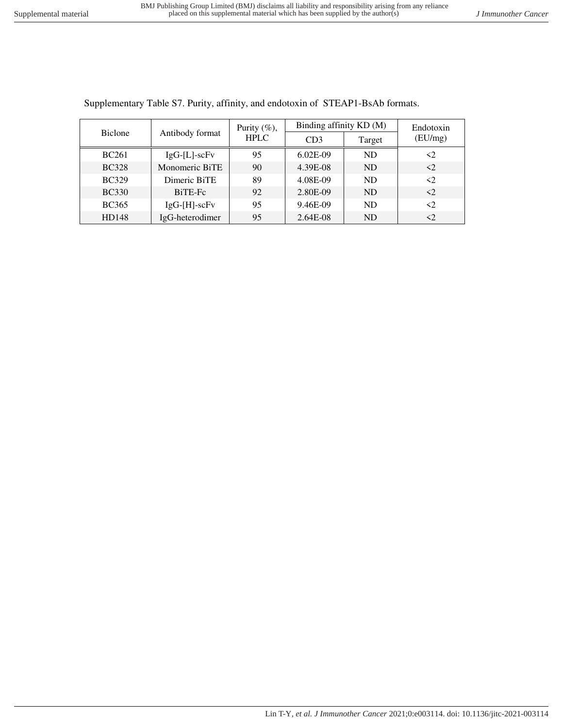| <b>Biclone</b> | Antibody format    | Purity $(\%)$ ,<br><b>HPLC</b> | Binding affinity KD (M) | Endotoxin |                     |
|----------------|--------------------|--------------------------------|-------------------------|-----------|---------------------|
|                |                    |                                | CD3                     | Target    | (EU/mg)             |
| <b>BC261</b>   | $IgG-[L]$ -sc $Fv$ | 95                             | $6.02E-09$              | <b>ND</b> | $\langle 2 \rangle$ |
| <b>BC328</b>   | Monomeric BiTE     | 90                             | 4.39E-08                | <b>ND</b> | $\langle 2 \rangle$ |
| <b>BC329</b>   | Dimeric BiTE       | 89                             | 4.08E-09                | ND        | $\langle$ 2         |
| <b>BC330</b>   | BiTE-Fc            | 92                             | 2.80E-09                | <b>ND</b> | $\langle 2 \rangle$ |
| <b>BC365</b>   | $IgG-[H]-scFv$     | 95                             | 9.46E-09                | <b>ND</b> | $\langle 2 \rangle$ |
| HD148          | IgG-heterodimer    | 95                             | 2.64E-08                | <b>ND</b> | $\triangleleft$     |

Supplementary Table S7. Purity, affinity, and endotoxin of STEAP1-BsAb formats.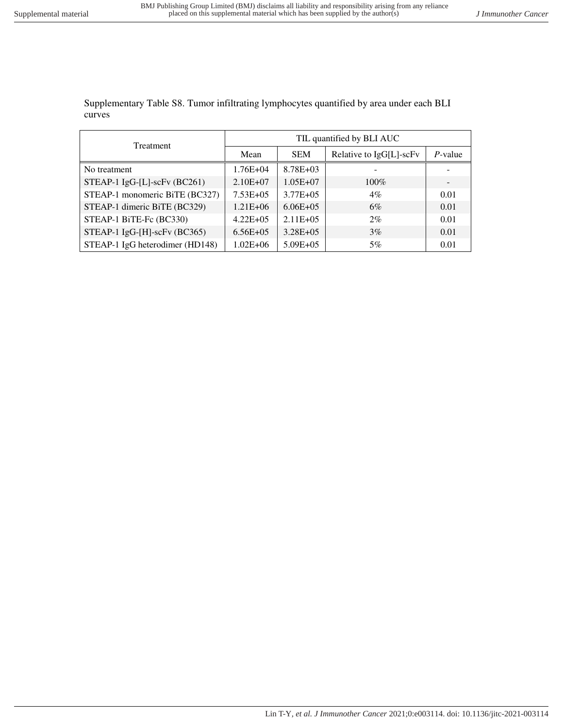Supplementary Table S8. Tumor infiltrating lymphocytes quantified by area under each BLI curves

| Treatment                         | TIL quantified by BLI AUC |               |                         |            |  |  |
|-----------------------------------|---------------------------|---------------|-------------------------|------------|--|--|
|                                   | Mean                      | <b>SEM</b>    | Relative to IgG[L]-scFv | $P$ -value |  |  |
| No treatment                      | $1.76E + 04$              | $8.78E + 03$  |                         |            |  |  |
| STEAP-1 $IgG-[L]$ -scFv $(BC261)$ | $2.10E + 07$              | $1.05E + 07$  | $100\%$                 |            |  |  |
| STEAP-1 monomeric BiTE (BC327)    | $7.53E + 05$              | $3.77E + 0.5$ | 4%                      | 0.01       |  |  |
| STEAP-1 dimeric BiTE (BC329)      | $1.21E + 06$              | $6.06E + 05$  | 6%                      | 0.01       |  |  |
| STEAP-1 BiTE-Fc (BC330)           | $4.22E + 05$              | $2.11E + 05$  | $2\%$                   | 0.01       |  |  |
| STEAP-1 IgG-[H]-scFv (BC365)      | $6.56E + 05$              | $3.28E + 05$  | 3%                      | 0.01       |  |  |
| STEAP-1 IgG heterodimer (HD148)   | $1.02E + 06$              | $5.09E + 05$  | 5%                      | 0.01       |  |  |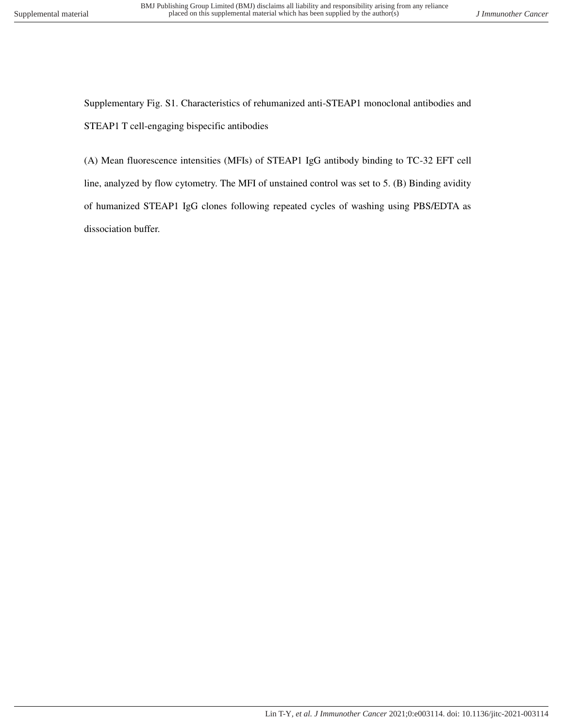Supplementary Fig. S1. Characteristics of rehumanized anti-STEAP1 monoclonal antibodies and STEAP1 T cell-engaging bispecific antibodies

(A) Mean fluorescence intensities (MFIs) of STEAP1 IgG antibody binding to TC-32 EFT cell line, analyzed by flow cytometry. The MFI of unstained control was set to 5. (B) Binding avidity of humanized STEAP1 IgG clones following repeated cycles of washing using PBS/EDTA as dissociation buffer.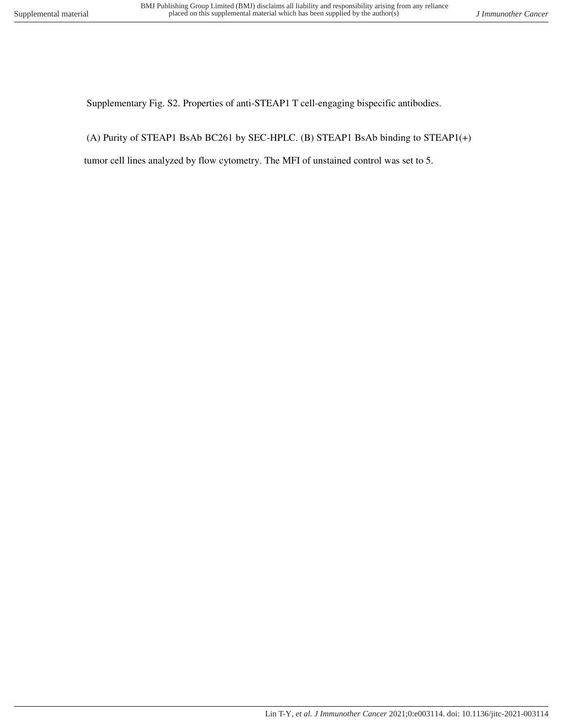Supplementary Fig. S2. Properties of anti-STEAP1 T cell-engaging bispecific antibodies.

(A) Purity of STEAP1 BsAb BC261 by SEC-HPLC. (B) STEAP1 BsAb binding to STEAP1(+)

tumor cell lines analyzed by flow cytometry. The MFI of unstained control was set to 5.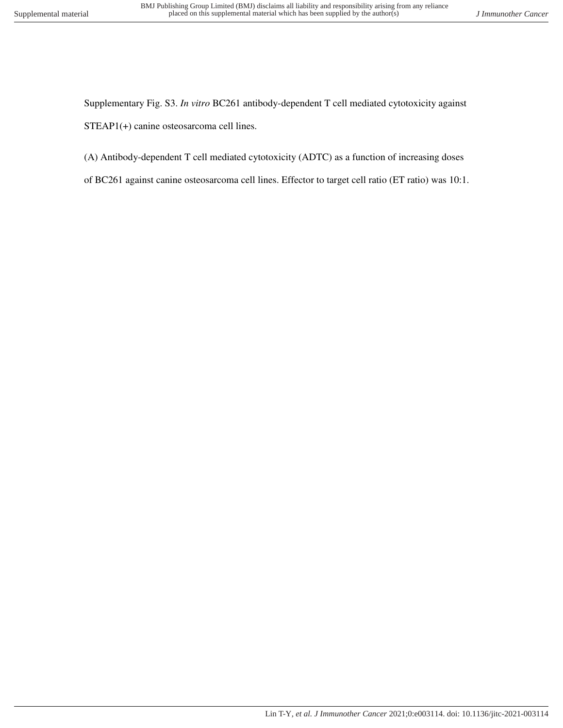Supplementary Fig. S3. *In vitro* BC261 antibody-dependent T cell mediated cytotoxicity against STEAP1(+) canine osteosarcoma cell lines.

- (A) Antibody-dependent T cell mediated cytotoxicity (ADTC) as a function of increasing doses
- of BC261 against canine osteosarcoma cell lines. Effector to target cell ratio (ET ratio) was 10:1.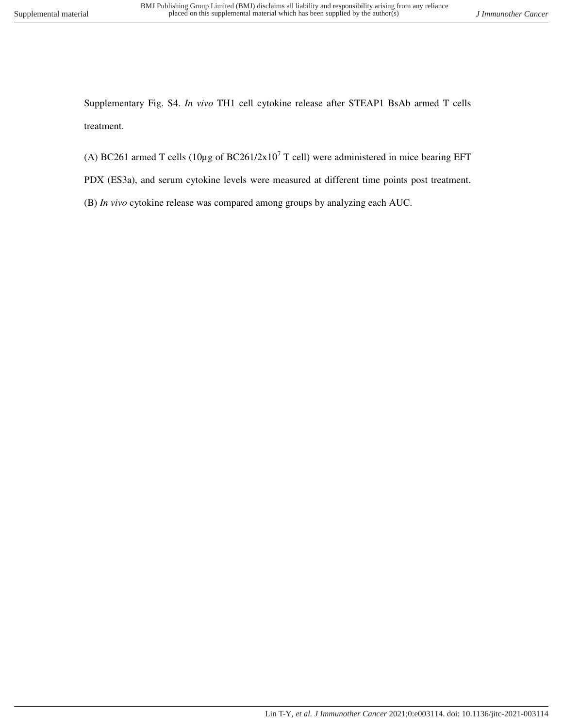Supplementary Fig. S4. *In vivo* TH1 cell cytokine release after STEAP1 BsAb armed T cells treatment.

- (A) BC261 armed T cells (10 $\mu$ g of BC261/2x10<sup>7</sup> T cell) were administered in mice bearing EFT
- PDX (ES3a), and serum cytokine levels were measured at different time points post treatment.
- (B) *In vivo* cytokine release was compared among groups by analyzing each AUC.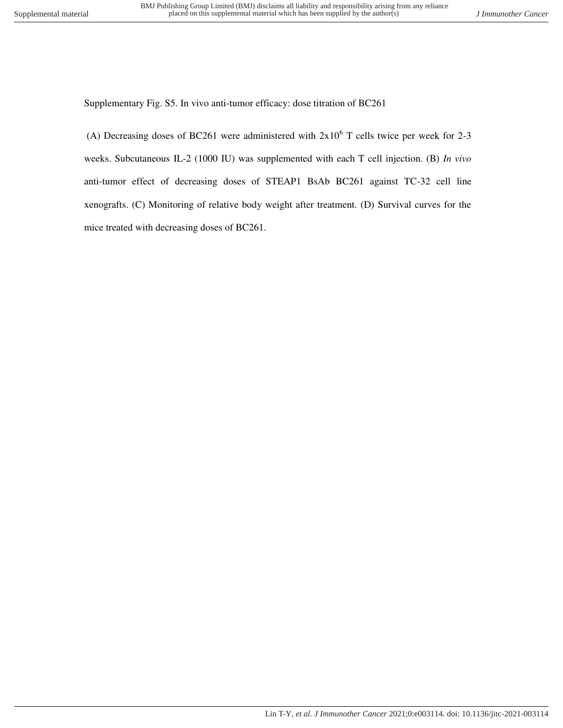Supplementary Fig. S5. In vivo anti-tumor efficacy: dose titration of BC261

(A) Decreasing doses of BC261 were administered with  $2x10^6$  T cells twice per week for 2-3 weeks. Subcutaneous IL-2 (1000 IU) was supplemented with each T cell injection. (B) *In vivo* anti-tumor effect of decreasing doses of STEAP1 BsAb BC261 against TC-32 cell line xenografts. (C) Monitoring of relative body weight after treatment. (D) Survival curves for the mice treated with decreasing doses of BC261.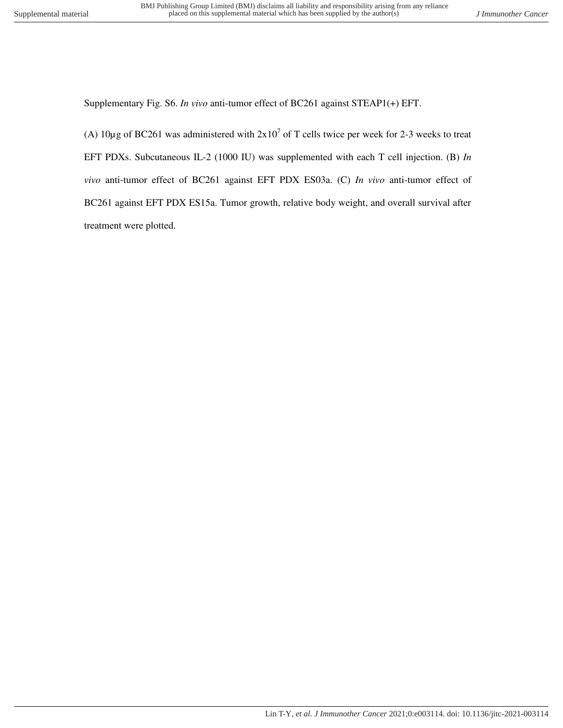Supplementary Fig. S6. *In vivo* anti-tumor effect of BC261 against STEAP1(+) EFT.

(A)  $10\mu$ g of BC261 was administered with  $2x10^7$  of T cells twice per week for 2-3 weeks to treat EFT PDXs. Subcutaneous IL-2 (1000 IU) was supplemented with each T cell injection. (B) *In vivo* anti-tumor effect of BC261 against EFT PDX ES03a. (C) *In vivo* anti-tumor effect of BC261 against EFT PDX ES15a. Tumor growth, relative body weight, and overall survival after treatment were plotted.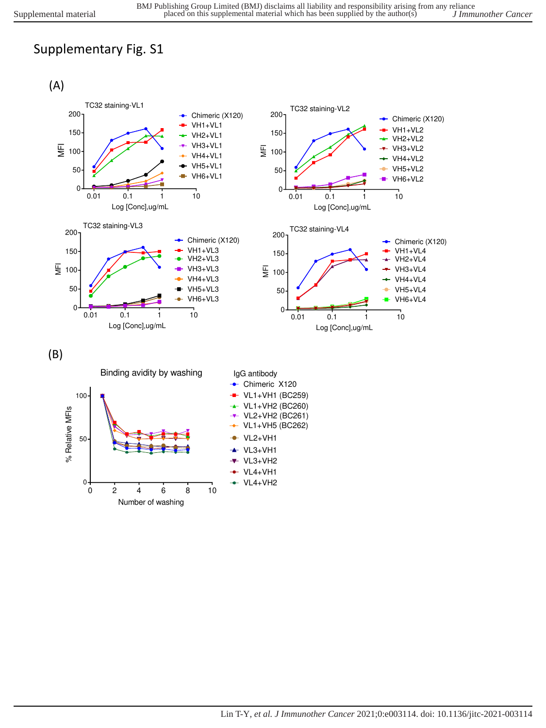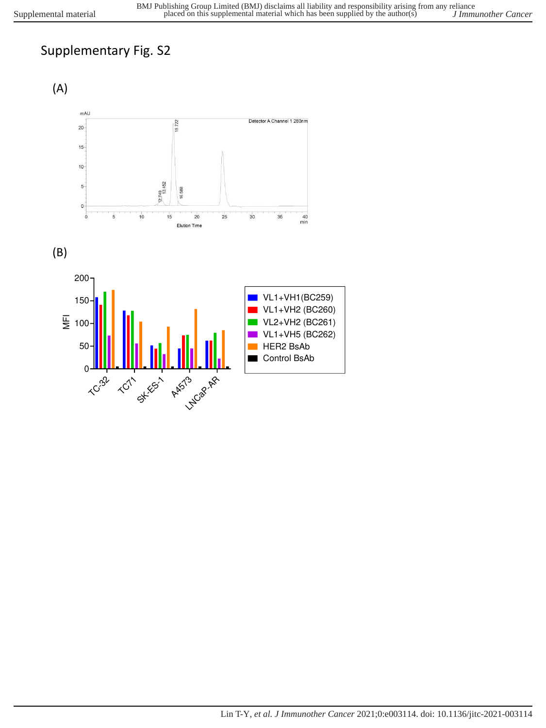





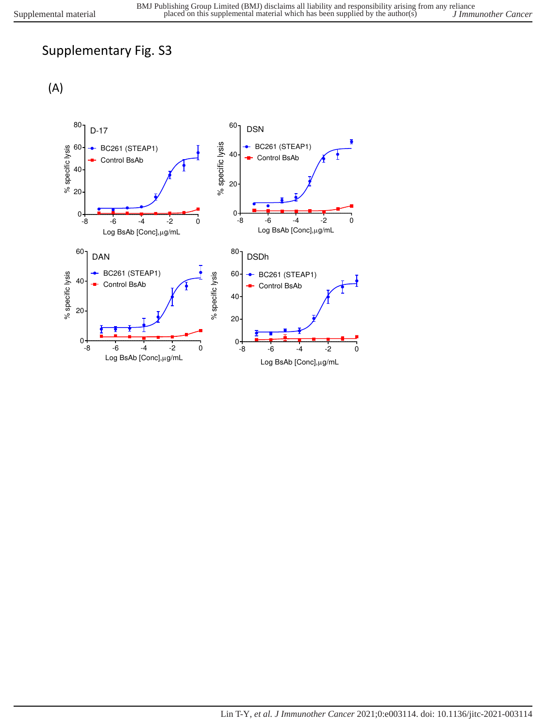(A)

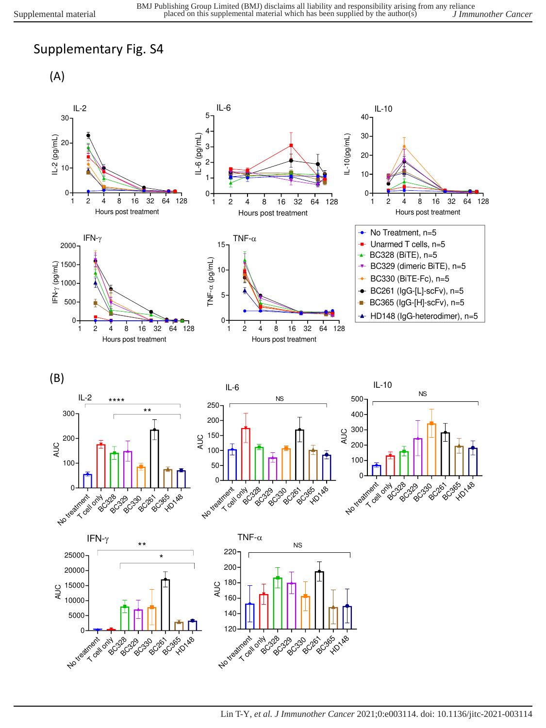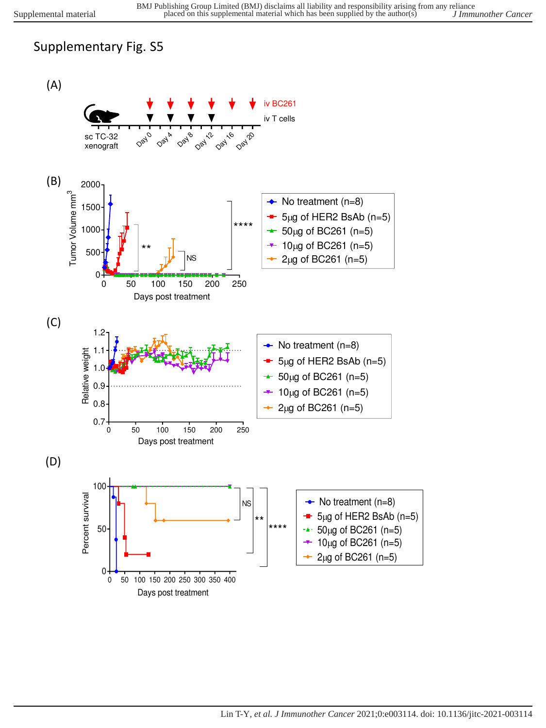